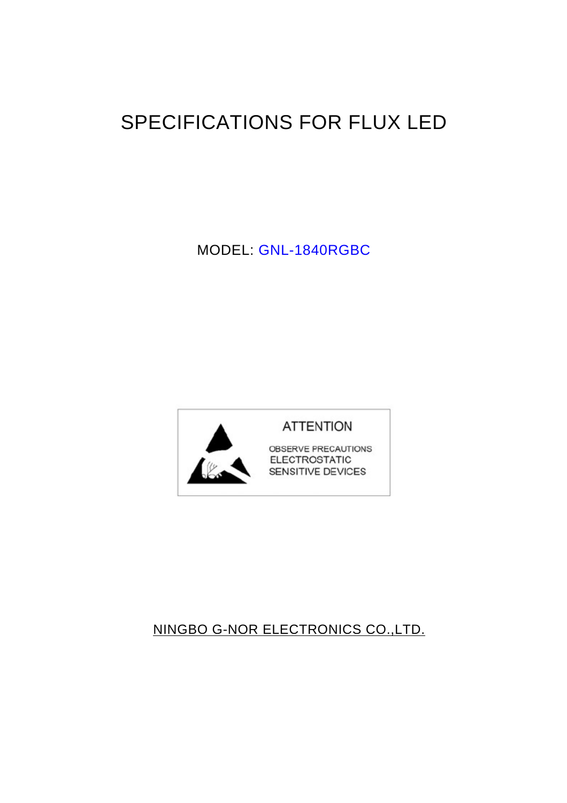# SPECIFICATIONS FOR FLUX LED

MODEL: GNL-1840RGBC



# NINGBO G-NOR ELECTRONICS CO.,LTD.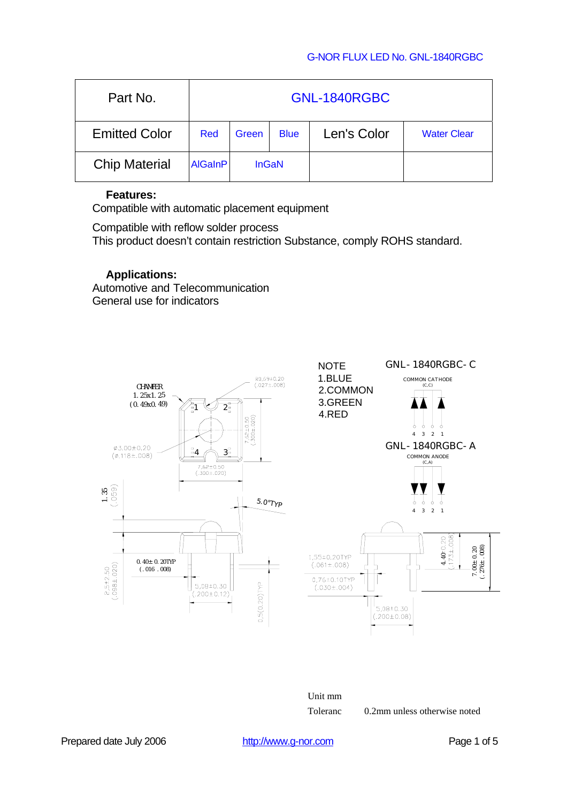### G-NOR FLUX LED No. GNL-1840RGBC

| Part No.             | GNL-1840RGBC   |              |             |             |                    |
|----------------------|----------------|--------------|-------------|-------------|--------------------|
| <b>Emitted Color</b> | Red            | Green        | <b>Blue</b> | Len's Color | <b>Water Clear</b> |
| <b>Chip Material</b> | <b>AlGaInP</b> | <b>InGaN</b> |             |             |                    |

### **Features:**

Compatible with automatic placement equipment

Compatible with reflow solder process This product doesn't contain restriction Substance, comply ROHS standard.

### **Applications:**

Automotive and Telecommunication General use for indicators



Unit mm

Toleranc 0.2mm unless otherwise noted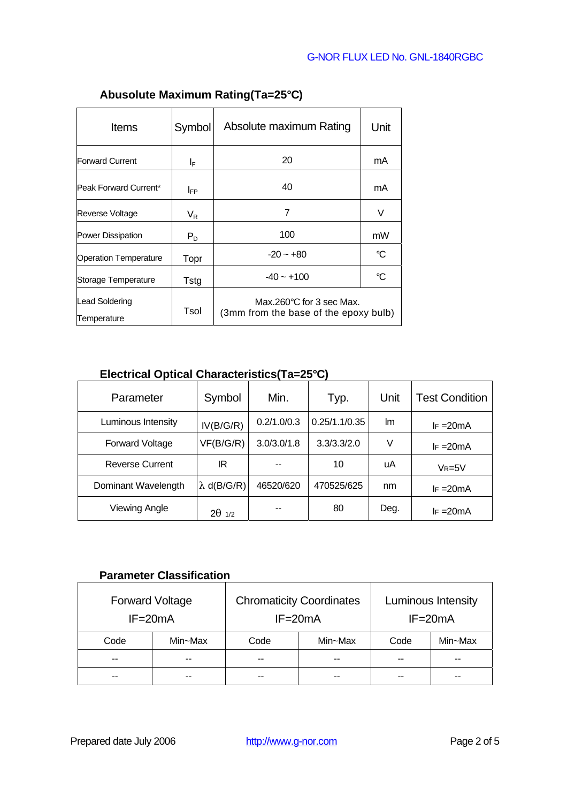| <b>Items</b>                         | Symbol      | Absolute maximum Rating                                           | Unit |
|--------------------------------------|-------------|-------------------------------------------------------------------|------|
| <b>Forward Current</b>               | ΙF          | 20                                                                | mA   |
| Peak Forward Current*                | <b>I</b> FP | 40                                                                | mA   |
| Reverse Voltage                      | $V_{R}$     | 7                                                                 | V    |
| Power Dissipation                    | $P_D$       | 100                                                               | mW   |
| <b>Operation Temperature</b>         | Topr        | $-20 - 0.00$                                                      | °C   |
| Storage Temperature                  | Tstg        | $-40 - +100$                                                      | °C   |
| <b>Lead Soldering</b><br>Temperature | Tsol        | Max.260°C for 3 sec Max.<br>(3mm from the base of the epoxy bulb) |      |

# **Abusolute Maximum Rating(Ta=25°C)**

# **Electrical Optical Characteristics(Ta=25°C)**

| Parameter              | Symbol    | Min.        | Typ.          | Unit | <b>Test Condition</b> |
|------------------------|-----------|-------------|---------------|------|-----------------------|
| Luminous Intensity     | IV(B/G/R) | 0.2/1.0/0.3 | 0.25/1.1/0.35 | lm.  | $F = 20mA$            |
| Forward Voltage        | VF(B/G/R) | 3.0/3.0/1.8 | 3.3/3.3/2.0   | V    | $F = 20mA$            |
| <b>Reverse Current</b> | ΙR        |             | 10            | uA   | $V_R = 5V$            |
| Dominant Wavelength    | d(B/G/R)  | 46520/620   | 470525/625    | nm   | $F = 20mA$            |
| <b>Viewing Angle</b>   | 1/2       | --          | 80            | Deg. | $F = 20mA$            |

## **Parameter Classification**

| <b>Forward Voltage</b><br>$IF = 20mA$ |         | <b>Chromaticity Coordinates</b><br>$IF = 20mA$ |         | Luminous Intensity<br>$IF = 20mA$ |               |  |
|---------------------------------------|---------|------------------------------------------------|---------|-----------------------------------|---------------|--|
| Code                                  | Min~Max | Code                                           | Min~Max | Code                              | Min~Max       |  |
| $- -$                                 | --      | $- -$                                          | --      | --                                | $\sim$ $\sim$ |  |
| --                                    |         |                                                |         | --                                | --            |  |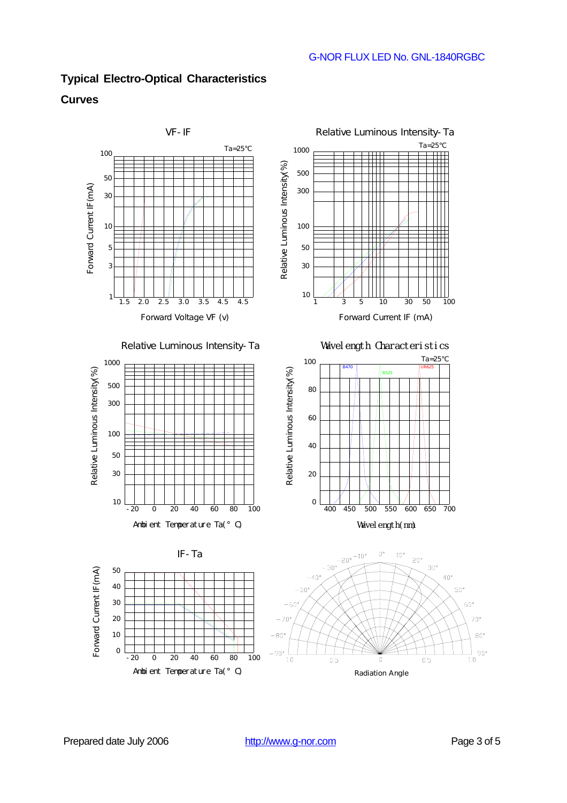# **Typical Electro-Optical Characteristics**

### **Curves**



Radiation Angle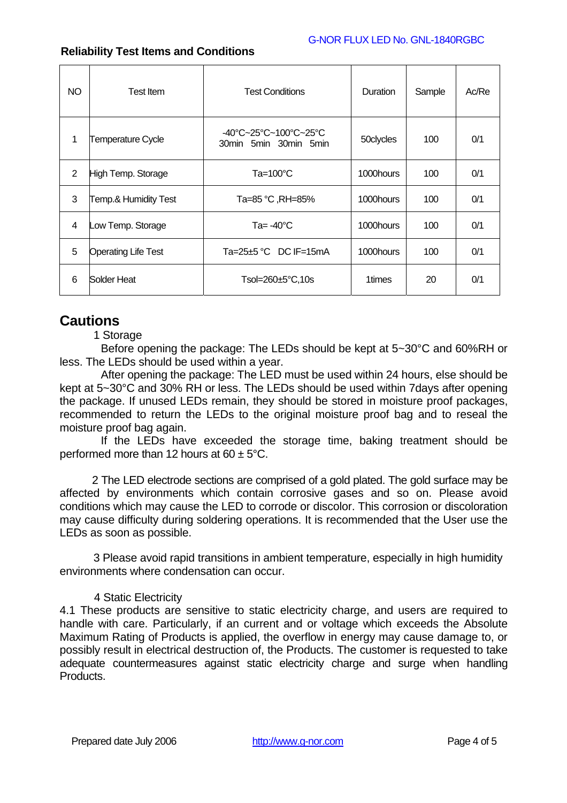### G-NOR FLUX LED No. GNL-1840RGBC

| NO.            | <b>Test Item</b>           | <b>Test Conditions</b>                         | Duration  | Sample | Ac/Re |
|----------------|----------------------------|------------------------------------------------|-----------|--------|-------|
| 1              | <b>Temperature Cycle</b>   | -40°C~25°C~100°C~25°C<br>30min 5min 30min 5min | 50clycles | 100    | 0/1   |
| $\overline{2}$ | High Temp. Storage         | Ta=100°C                                       | 1000hours | 100    | 0/1   |
| 3              | Temp.& Humidity Test       | Ta=85 °C, RH=85%                               | 1000hours | 100    | 0/1   |
| 4              | Low Temp. Storage          | Ta= $-40^{\circ}$ C                            | 1000hours | 100    | 0/1   |
| 5              | <b>Operating Life Test</b> | Ta=25 $\pm$ 5 °C DC IF=15mA                    | 1000hours | 100    | 0/1   |
| 6              | Solder Heat                | Tsol=260±5°C,10s                               | 1times    | 20     | 0/1   |

### **Reliability Test Items and Conditions**

# **Cautions**

1 Storage

Before opening the package: The LEDs should be kept at 5~30°C and 60%RH or less. The LEDs should be used within a year.

After opening the package: The LED must be used within 24 hours, else should be kept at 5~30°C and 30% RH or less. The LEDs should be used within 7days after opening the package. If unused LEDs remain, they should be stored in moisture proof packages, recommended to return the LEDs to the original moisture proof bag and to reseal the moisture proof bag again.

If the LEDs have exceeded the storage time, baking treatment should be performed more than 12 hours at  $60 \pm 5^{\circ}$ C.

2 The LED electrode sections are comprised of a gold plated. The gold surface may be affected by environments which contain corrosive gases and so on. Please avoid conditions which may cause the LED to corrode or discolor. This corrosion or discoloration may cause difficulty during soldering operations. It is recommended that the User use the LEDs as soon as possible.

3 Please avoid rapid transitions in ambient temperature, especially in high humidity environments where condensation can occur.

### 4 Static Electricity

4.1 These products are sensitive to static electricity charge, and users are required to handle with care. Particularly, if an current and or voltage which exceeds the Absolute Maximum Rating of Products is applied, the overflow in energy may cause damage to, or possibly result in electrical destruction of, the Products. The customer is requested to take adequate countermeasures against static electricity charge and surge when handling **Products**